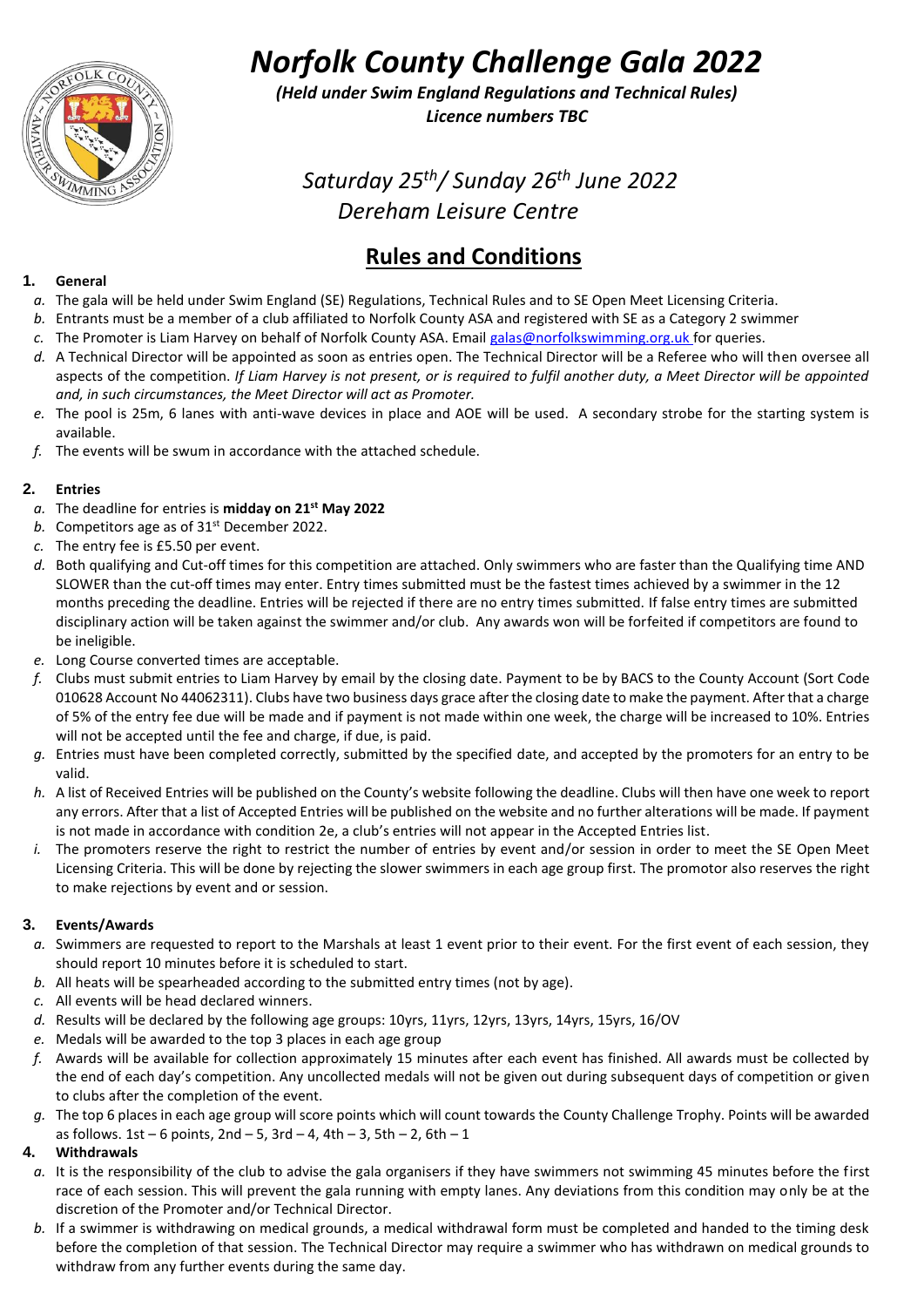

*Norfolk County Challenge Gala 2022*

*(Held under Swim England Regulations and Technical Rules) Licence numbers TBC*

*Saturday 25th/ Sunday 26 th June 2022 Dereham Leisure Centre*

## **Rules and Conditions**

#### **1. General**

- *a.* The gala will be held under Swim England (SE) Regulations, Technical Rules and to SE Open Meet Licensing Criteria.
- *b.* Entrants must be a member of a club affiliated to Norfolk County ASA and registered with SE as a Category 2 swimmer
- *c.* The Promoter is Liam Harvey on behalf of Norfolk County ASA. Email [galas@norfolkswimming.org.uk](mailto:galas@norfolkswimming.org.uk) for queries.
- *d.* A Technical Director will be appointed as soon as entries open. The Technical Director will be a Referee who will then oversee all aspects of the competition. *If Liam Harvey is not present, or is required to fulfil another duty, a Meet Director will be appointed and, in such circumstances, the Meet Director will act as Promoter.*
- *e.* The pool is 25m, 6 lanes with anti-wave devices in place and AOE will be used. A secondary strobe for the starting system is available.
- *f.* The events will be swum in accordance with the attached schedule.

#### **2. Entries**

- *a.* The deadline for entries is **midday on 21st May 2022**
- **b.** Competitors age as of 31<sup>st</sup> December 2022.
- *c.* The entry fee is £5.50 per event.
- *d.* Both qualifying and Cut-off times for this competition are attached. Only swimmers who are faster than the Qualifying time AND SLOWER than the cut-off times may enter. Entry times submitted must be the fastest times achieved by a swimmer in the 12 months preceding the deadline. Entries will be rejected if there are no entry times submitted. If false entry times are submitted disciplinary action will be taken against the swimmer and/or club. Any awards won will be forfeited if competitors are found to be ineligible.
- *e.* Long Course converted times are acceptable.
- *f.* Clubs must submit entries to Liam Harvey by email by the closing date. Payment to be by BACS to the County Account (Sort Code 010628 Account No 44062311). Clubs have two business days grace after the closing date to make the payment. After that a charge of 5% of the entry fee due will be made and if payment is not made within one week, the charge will be increased to 10%. Entries will not be accepted until the fee and charge, if due, is paid.
- *g.* Entries must have been completed correctly, submitted by the specified date, and accepted by the promoters for an entry to be valid.
- *h.* A list of Received Entries will be published on the County's website following the deadline. Clubs will then have one week to report any errors. After that a list of Accepted Entries will be published on the website and no further alterations will be made. If payment is not made in accordance with condition 2e, a club's entries will not appear in the Accepted Entries list.
- *i.* The promoters reserve the right to restrict the number of entries by event and/or session in order to meet the SE Open Meet Licensing Criteria. This will be done by rejecting the slower swimmers in each age group first. The promotor also reserves the right to make rejections by event and or session.

#### **3. Events/Awards**

- a. Swimmers are requested to report to the Marshals at least 1 event prior to their event. For the first event of each session, they should report 10 minutes before it is scheduled to start.
- *b.* All heats will be spearheaded according to the submitted entry times (not by age).
- *c.* All events will be head declared winners.
- *d.* Results will be declared by the following age groups: 10yrs, 11yrs, 12yrs, 13yrs, 14yrs, 15yrs, 16/OV
- *e.* Medals will be awarded to the top 3 places in each age group
- *f.* Awards will be available for collection approximately 15 minutes after each event has finished. All awards must be collected by the end of each day's competition. Any uncollected medals will not be given out during subsequent days of competition or given to clubs after the completion of the event.
- *g.* The top 6 places in each age group will score points which will count towards the County Challenge Trophy. Points will be awarded as follows.  $1st - 6$  points,  $2nd - 5$ ,  $3rd - 4$ ,  $4th - 3$ ,  $5th - 2$ ,  $6th - 1$

#### **4. Withdrawals**

- *a.* It is the responsibility of the club to advise the gala organisers if they have swimmers not swimming 45 minutes before the first race of each session. This will prevent the gala running with empty lanes. Any deviations from this condition may only be at the discretion of the Promoter and/or Technical Director.
- *b.* If a swimmer is withdrawing on medical grounds, a medical withdrawal form must be completed and handed to the timing desk before the completion of that session. The Technical Director may require a swimmer who has withdrawn on medical grounds to withdraw from any further events during the same day.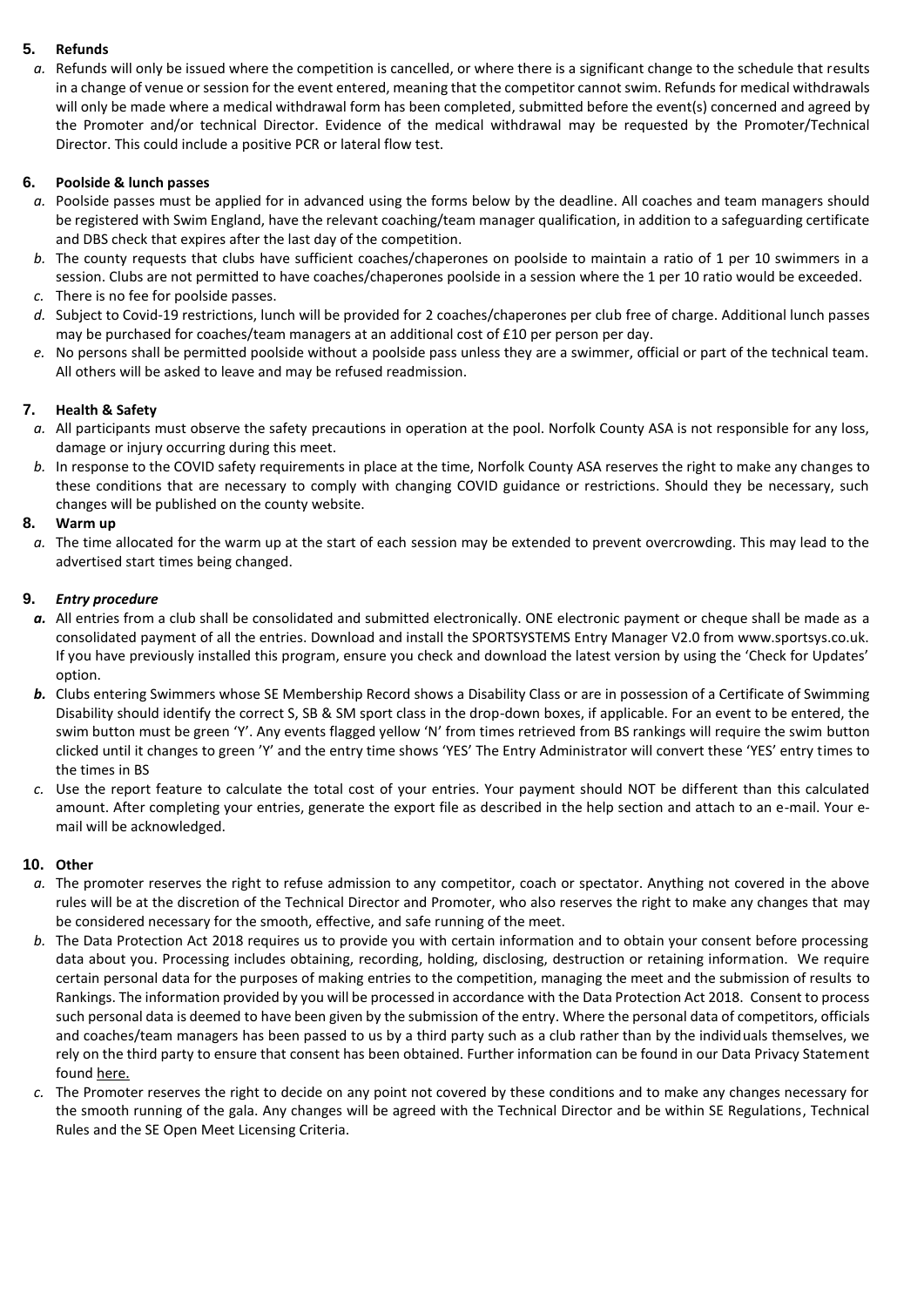#### **5. Refunds**

*a.* Refunds will only be issued where the competition is cancelled, or where there is a significant change to the schedule that results in a change of venue or session for the event entered, meaning that the competitor cannot swim. Refunds for medical withdrawals will only be made where a medical withdrawal form has been completed, submitted before the event(s) concerned and agreed by the Promoter and/or technical Director. Evidence of the medical withdrawal may be requested by the Promoter/Technical Director. This could include a positive PCR or lateral flow test.

#### **6. Poolside & lunch passes**

- *a.* Poolside passes must be applied for in advanced using the forms below by the deadline. All coaches and team managers should be registered with Swim England, have the relevant coaching/team manager qualification, in addition to a safeguarding certificate and DBS check that expires after the last day of the competition.
- *b.* The county requests that clubs have sufficient coaches/chaperones on poolside to maintain a ratio of 1 per 10 swimmers in a session. Clubs are not permitted to have coaches/chaperones poolside in a session where the 1 per 10 ratio would be exceeded.
- *c.* There is no fee for poolside passes.
- *d.* Subject to Covid-19 restrictions, lunch will be provided for 2 coaches/chaperones per club free of charge. Additional lunch passes may be purchased for coaches/team managers at an additional cost of £10 per person per day.
- *e.* No persons shall be permitted poolside without a poolside pass unless they are a swimmer, official or part of the technical team. All others will be asked to leave and may be refused readmission.

#### **7. Health & Safety**

- *a.* All participants must observe the safety precautions in operation at the pool. Norfolk County ASA is not responsible for any loss, damage or injury occurring during this meet.
- *b.* In response to the COVID safety requirements in place at the time, Norfolk County ASA reserves the right to make any changes to these conditions that are necessary to comply with changing COVID guidance or restrictions. Should they be necessary, such changes will be published on the county website.

#### **8. Warm up**

*a.* The time allocated for the warm up at the start of each session may be extended to prevent overcrowding. This may lead to the advertised start times being changed.

#### **9.** *Entry procedure*

- a. All entries from a club shall be consolidated and submitted electronically. ONE electronic payment or cheque shall be made as a consolidated payment of all the entries. Download and install the SPORTSYSTEMS Entry Manager V2.0 from www.sportsys.co.uk. If you have previously installed this program, ensure you check and download the latest version by using the 'Check for Updates' option.
- *b.* Clubs entering Swimmers whose SE Membership Record shows a Disability Class or are in possession of a Certificate of Swimming Disability should identify the correct S, SB & SM sport class in the drop-down boxes, if applicable. For an event to be entered, the swim button must be green 'Y'. Any events flagged yellow 'N' from times retrieved from BS rankings will require the swim button clicked until it changes to green 'Y' and the entry time shows 'YES' The Entry Administrator will convert these 'YES' entry times to the times in BS
- *c.* Use the report feature to calculate the total cost of your entries. Your payment should NOT be different than this calculated amount. After completing your entries, generate the export file as described in the help section and attach to an e-mail. Your email will be acknowledged.

#### **10. Other**

- *a.* The promoter reserves the right to refuse admission to any competitor, coach or spectator. Anything not covered in the above rules will be at the discretion of the Technical Director and Promoter, who also reserves the right to make any changes that may be considered necessary for the smooth, effective, and safe running of the meet.
- *b.* The Data Protection Act 2018 requires us to provide you with certain information and to obtain your consent before processing data about you. Processing includes obtaining, recording, holding, disclosing, destruction or retaining information. We require certain personal data for the purposes of making entries to the competition, managing the meet and the submission of results to Rankings. The information provided by you will be processed in accordance with the Data Protection Act 2018. Consent to process such personal data is deemed to have been given by the submission of the entry. Where the personal data of competitors, officials and coaches/team managers has been passed to us by a third party such as a club rather than by the individuals themselves, we rely on the third party to ensure that consent has been obtained. Further information can be found in our Data Privacy Statement foun[d here.](http://www.norfolkswimming.org.uk/assets/files/NCASA%20Privacy%20Notice%20-%20Swim%20Meets.pdf)
- *c.* The Promoter reserves the right to decide on any point not covered by these conditions and to make any changes necessary for the smooth running of the gala. Any changes will be agreed with the Technical Director and be within SE Regulations, Technical Rules and the SE Open Meet Licensing Criteria.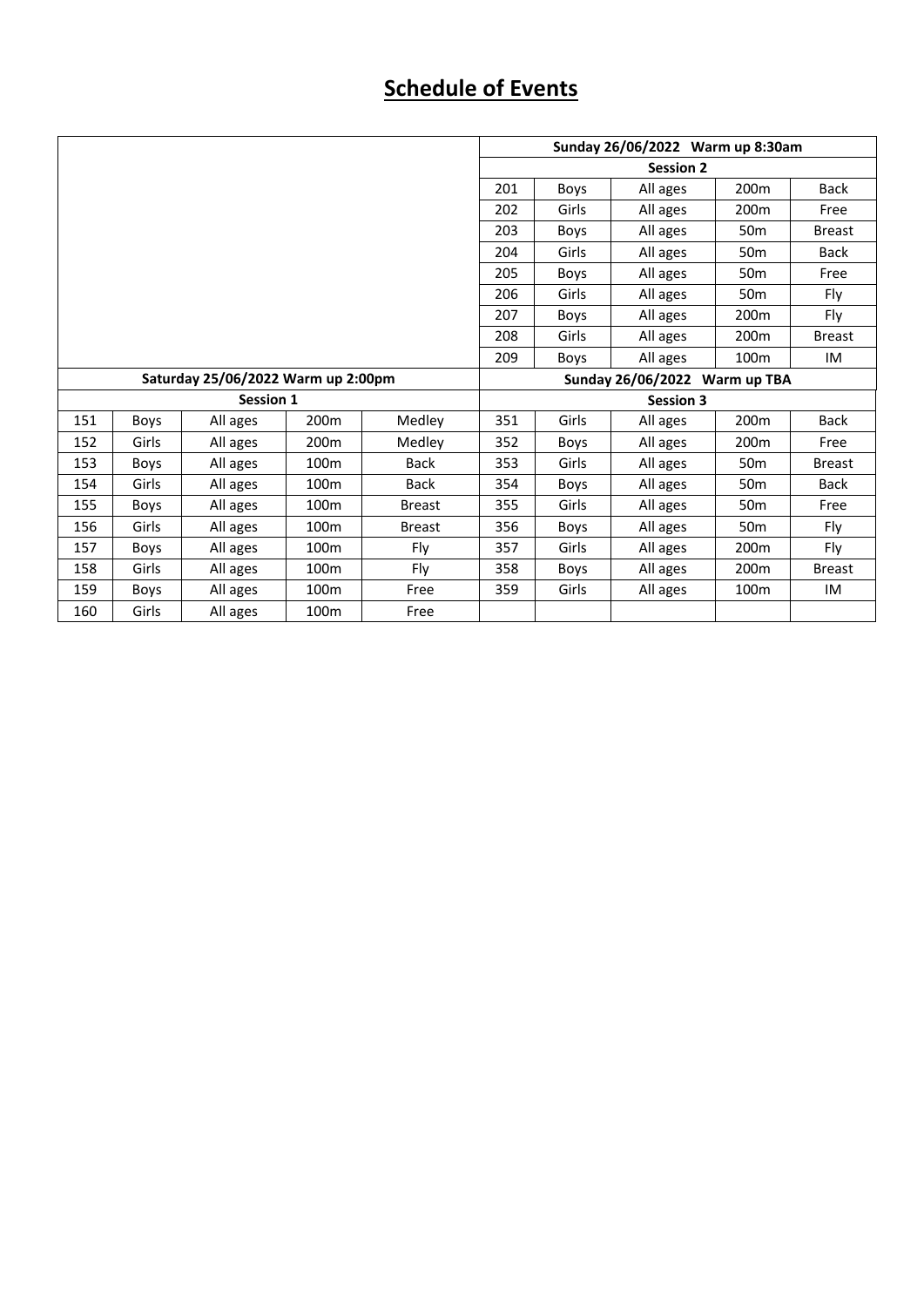## **Schedule of Events**

|                                    |             |          |                  |               | Sunday 26/06/2022 Warm up 8:30am |                  |                  |                  |               |  |
|------------------------------------|-------------|----------|------------------|---------------|----------------------------------|------------------|------------------|------------------|---------------|--|
|                                    |             |          |                  |               |                                  |                  | <b>Session 2</b> |                  |               |  |
|                                    |             |          |                  |               | 201                              | Boys             | All ages         | 200 <sub>m</sub> | <b>Back</b>   |  |
|                                    |             |          |                  |               | 202                              | Girls            | All ages         | 200 <sub>m</sub> | Free          |  |
|                                    |             |          |                  |               | 203                              | Boys             | All ages         | 50 <sub>m</sub>  | <b>Breast</b> |  |
|                                    |             |          |                  |               | 204                              | Girls            | All ages         | 50 <sub>m</sub>  | <b>Back</b>   |  |
|                                    |             |          |                  |               | 205                              | Boys             | All ages         | 50 <sub>m</sub>  | Free          |  |
|                                    |             |          |                  |               | 206                              | Girls            | All ages         | 50 <sub>m</sub>  | Fly           |  |
|                                    |             |          |                  |               | 207                              | Boys             | All ages         | 200 <sub>m</sub> | Fly           |  |
|                                    |             |          |                  |               | 208                              | Girls            | All ages         | 200 <sub>m</sub> | <b>Breast</b> |  |
|                                    |             |          |                  |               | 209                              | Boys             | All ages         | 100 <sub>m</sub> | IM            |  |
| Saturday 25/06/2022 Warm up 2:00pm |             |          |                  |               | Sunday 26/06/2022<br>Warm up TBA |                  |                  |                  |               |  |
| <b>Session 1</b>                   |             |          |                  |               |                                  | <b>Session 3</b> |                  |                  |               |  |
| 151                                | Boys        | All ages | 200m             | Medley        | 351                              | Girls            | All ages         | 200m             | <b>Back</b>   |  |
| 152                                | Girls       | All ages | 200 <sub>m</sub> | Medley        | 352                              | Boys             | All ages         | 200 <sub>m</sub> | Free          |  |
| 153                                | Boys        | All ages | 100 <sub>m</sub> | <b>Back</b>   | 353                              | Girls            | All ages         | 50 <sub>m</sub>  | <b>Breast</b> |  |
| 154                                | Girls       | All ages | 100 <sub>m</sub> | <b>Back</b>   | 354                              | Boys             | All ages         | 50 <sub>m</sub>  | <b>Back</b>   |  |
| 155                                | <b>Boys</b> | All ages | 100 <sub>m</sub> | <b>Breast</b> | 355                              | Girls            | All ages         | 50 <sub>m</sub>  | Free          |  |
| 156                                | Girls       | All ages | 100 <sub>m</sub> | <b>Breast</b> | 356                              | Boys             | All ages         | 50 <sub>m</sub>  | Fly           |  |
| 157                                | <b>Boys</b> | All ages | 100 <sub>m</sub> | Fly           | 357                              | Girls            | All ages         | 200 <sub>m</sub> | Fly           |  |
| 158                                | Girls       | All ages | 100 <sub>m</sub> | Fly           | 358                              | Boys             | All ages         | 200 <sub>m</sub> | <b>Breast</b> |  |
| 159                                | <b>Boys</b> | All ages | 100 <sub>m</sub> | Free          | 359                              | Girls            | All ages         | 100 <sub>m</sub> | IM            |  |
| 160                                | Girls       | All ages | 100m             | Free          |                                  |                  |                  |                  |               |  |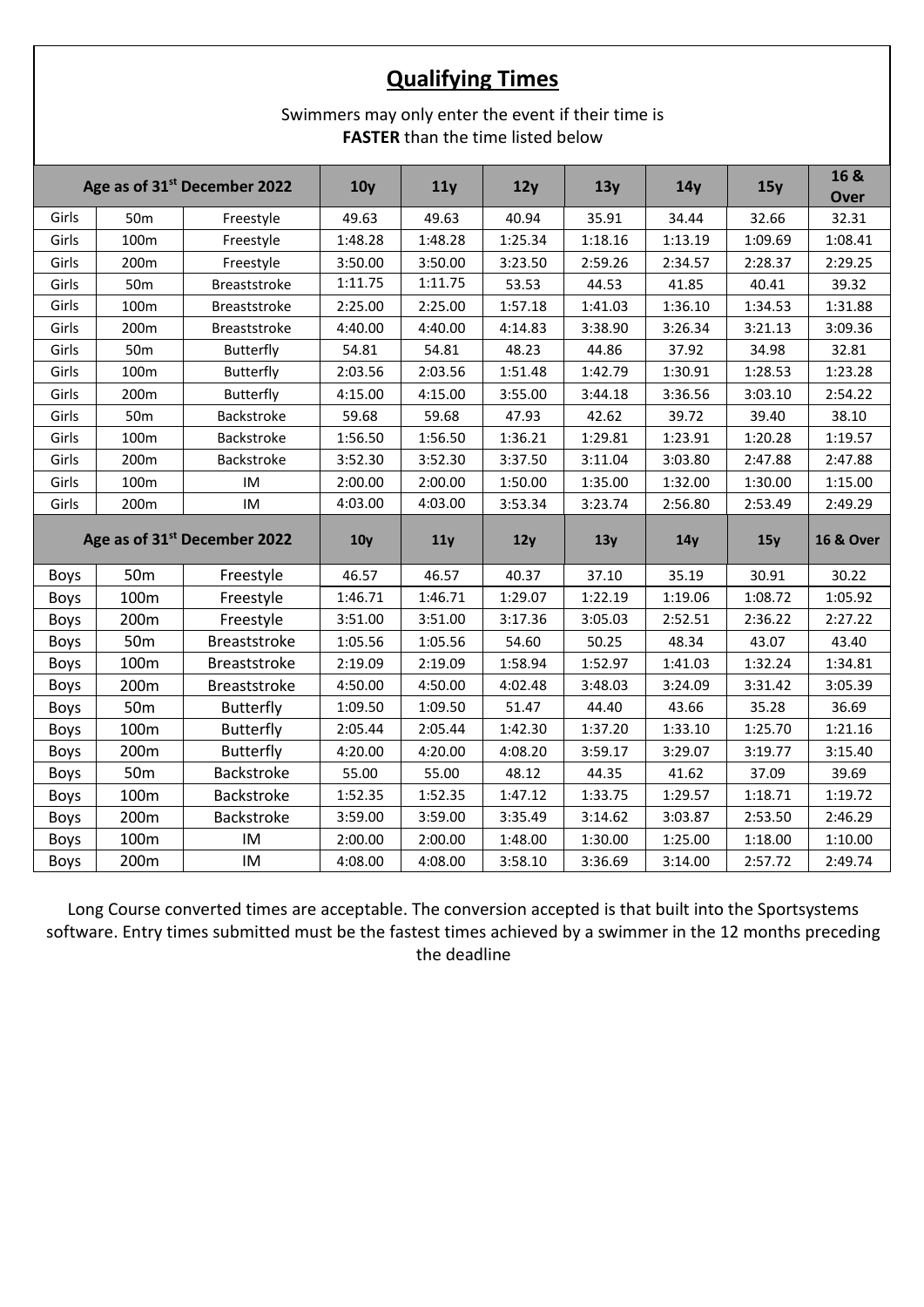## **Qualifying Times**

### Swimmers may only enter the event if their time is **FASTER** than the time listed below

| Age as of 31 <sup>st</sup> December 2022 |                 | 10 <sub>V</sub>     | 11y             | 12y     | 13y     | 14 <sub>y</sub> | 15y     | 16 &<br><b>Over</b> |                      |
|------------------------------------------|-----------------|---------------------|-----------------|---------|---------|-----------------|---------|---------------------|----------------------|
| Girls                                    | 50 <sub>m</sub> | Freestyle           | 49.63           | 49.63   | 40.94   | 35.91           | 34.44   | 32.66               | 32.31                |
| Girls                                    | 100m            | Freestyle           | 1:48.28         | 1:48.28 | 1:25.34 | 1:18.16         | 1:13.19 | 1:09.69             | 1:08.41              |
| Girls                                    | 200m            | Freestyle           | 3:50.00         | 3:50.00 | 3:23.50 | 2:59.26         | 2:34.57 | 2:28.37             | 2:29.25              |
| Girls                                    | 50 <sub>m</sub> | Breaststroke        | 1:11.75         | 1:11.75 | 53.53   | 44.53           | 41.85   | 40.41               | 39.32                |
| Girls                                    | 100m            | Breaststroke        | 2:25.00         | 2:25.00 | 1:57.18 | 1:41.03         | 1:36.10 | 1:34.53             | 1:31.88              |
| Girls                                    | 200m            | Breaststroke        | 4:40.00         | 4:40.00 | 4:14.83 | 3:38.90         | 3:26.34 | 3:21.13             | 3:09.36              |
| Girls                                    | 50 <sub>m</sub> | Butterfly           | 54.81           | 54.81   | 48.23   | 44.86           | 37.92   | 34.98               | 32.81                |
| Girls                                    | 100m            | Butterfly           | 2:03.56         | 2:03.56 | 1:51.48 | 1:42.79         | 1:30.91 | 1:28.53             | 1:23.28              |
| Girls                                    | 200m            | Butterfly           | 4:15.00         | 4:15.00 | 3:55.00 | 3:44.18         | 3:36.56 | 3:03.10             | 2:54.22              |
| Girls                                    | 50 <sub>m</sub> | Backstroke          | 59.68           | 59.68   | 47.93   | 42.62           | 39.72   | 39.40               | 38.10                |
| Girls                                    | 100m            | Backstroke          | 1:56.50         | 1:56.50 | 1:36.21 | 1:29.81         | 1:23.91 | 1:20.28             | 1:19.57              |
| Girls                                    | 200m            | Backstroke          | 3:52.30         | 3:52.30 | 3:37.50 | 3:11.04         | 3:03.80 | 2:47.88             | 2:47.88              |
| Girls                                    | 100m            | IM                  | 2:00.00         | 2:00.00 | 1:50.00 | 1:35.00         | 1:32.00 | 1:30.00             | 1:15.00              |
| Girls                                    | 200m            | IM                  | 4:03.00         | 4:03.00 | 3:53.34 | 3:23.74         | 2:56.80 | 2:53.49             | 2:49.29              |
| Age as of 31 <sup>st</sup> December 2022 |                 |                     |                 |         |         |                 |         |                     |                      |
|                                          |                 |                     | 10 <sub>y</sub> | 11y     | 12y     | 13y             | 14y     | 15y                 | <b>16 &amp; Over</b> |
| <b>Boys</b>                              | 50 <sub>m</sub> | Freestyle           | 46.57           | 46.57   | 40.37   | 37.10           | 35.19   | 30.91               | 30.22                |
| <b>Boys</b>                              | 100m            | Freestyle           | 1:46.71         | 1:46.71 | 1:29.07 | 1:22.19         | 1:19.06 | 1:08.72             | 1:05.92              |
| <b>Boys</b>                              | 200m            | Freestyle           | 3:51.00         | 3:51.00 | 3:17.36 | 3:05.03         | 2:52.51 | 2:36.22             | 2:27.22              |
| Boys                                     | 50 <sub>m</sub> | <b>Breaststroke</b> | 1:05.56         | 1:05.56 | 54.60   | 50.25           | 48.34   | 43.07               | 43.40                |
| <b>Boys</b>                              | 100m            | <b>Breaststroke</b> | 2:19.09         | 2:19.09 | 1:58.94 | 1:52.97         | 1:41.03 | 1:32.24             | 1:34.81              |
| Boys                                     | 200m            | <b>Breaststroke</b> | 4:50.00         | 4:50.00 | 4:02.48 | 3:48.03         | 3:24.09 | 3:31.42             | 3:05.39              |
| Boys                                     | 50 <sub>m</sub> | <b>Butterfly</b>    | 1:09.50         | 1:09.50 | 51.47   | 44.40           | 43.66   | 35.28               | 36.69                |
| <b>Boys</b>                              | 100m            | <b>Butterfly</b>    | 2:05.44         | 2:05.44 | 1:42.30 | 1:37.20         | 1:33.10 | 1:25.70             | 1:21.16              |
| Boys                                     | 200m            | <b>Butterfly</b>    | 4:20.00         | 4:20.00 | 4:08.20 | 3:59.17         | 3:29.07 | 3:19.77             | 3:15.40              |
| <b>Boys</b>                              | 50 <sub>m</sub> | Backstroke          | 55.00           | 55.00   | 48.12   | 44.35           | 41.62   | 37.09               | 39.69                |
| Boys                                     | 100m            | Backstroke          | 1:52.35         | 1:52.35 | 1:47.12 | 1:33.75         | 1:29.57 | 1:18.71             | 1:19.72              |
| Boys                                     | 200m            | Backstroke          | 3:59.00         | 3:59.00 | 3:35.49 | 3:14.62         | 3:03.87 | 2:53.50             | 2:46.29              |
| Boys                                     | 100m            | IM                  | 2:00.00         | 2:00.00 | 1:48.00 | 1:30.00         | 1:25.00 | 1:18.00             | 1:10.00              |

Long Course converted times are acceptable. The conversion accepted is that built into the Sportsystems software. Entry times submitted must be the fastest times achieved by a swimmer in the 12 months preceding the deadline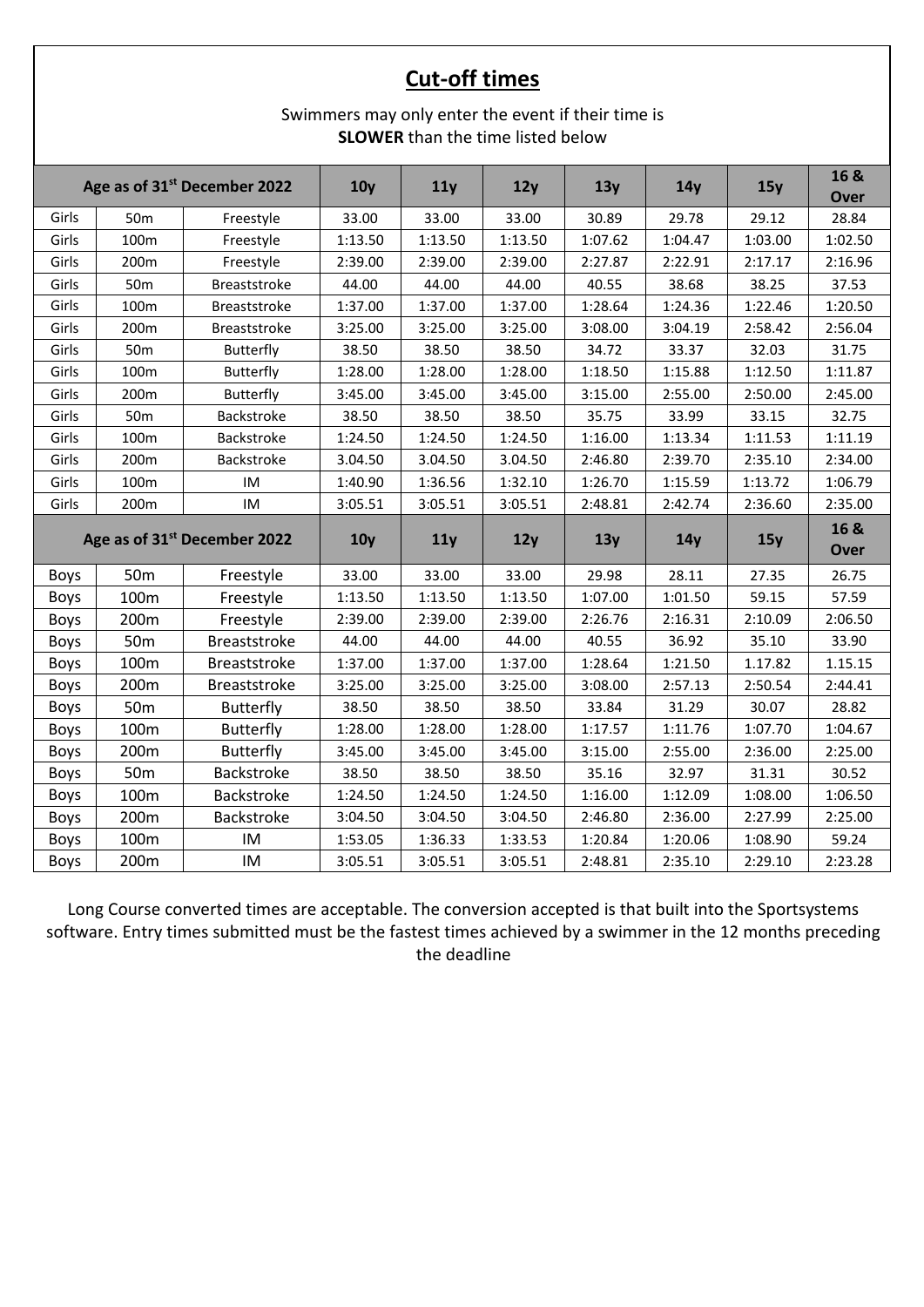## **Cut-off times**

### Swimmers may only enter the event if their time is **SLOWER** than the time listed below

| Age as of 31 <sup>st</sup> December 2022 |                                          | 10 <sub>V</sub>     | 11y             | 12y     | 13y     | 14y     | 15y     | 16 &<br><b>Over</b> |                     |
|------------------------------------------|------------------------------------------|---------------------|-----------------|---------|---------|---------|---------|---------------------|---------------------|
| Girls                                    | 50 <sub>m</sub>                          | Freestyle           | 33.00           | 33.00   | 33.00   | 30.89   | 29.78   | 29.12               | 28.84               |
| Girls                                    | 100m                                     | Freestyle           | 1:13.50         | 1:13.50 | 1:13.50 | 1:07.62 | 1:04.47 | 1:03.00             | 1:02.50             |
| Girls                                    | 200m                                     | Freestyle           | 2:39.00         | 2:39.00 | 2:39.00 | 2:27.87 | 2:22.91 | 2:17.17             | 2:16.96             |
| Girls                                    | 50 <sub>m</sub>                          | Breaststroke        | 44.00           | 44.00   | 44.00   | 40.55   | 38.68   | 38.25               | 37.53               |
| Girls                                    | 100m                                     | <b>Breaststroke</b> | 1:37.00         | 1:37.00 | 1:37.00 | 1:28.64 | 1:24.36 | 1:22.46             | 1:20.50             |
| Girls                                    | 200m                                     | <b>Breaststroke</b> | 3:25.00         | 3:25.00 | 3:25.00 | 3:08.00 | 3:04.19 | 2:58.42             | 2:56.04             |
| Girls                                    | 50 <sub>m</sub>                          | Butterfly           | 38.50           | 38.50   | 38.50   | 34.72   | 33.37   | 32.03               | 31.75               |
| Girls                                    | 100m                                     | Butterfly           | 1:28.00         | 1:28.00 | 1:28.00 | 1:18.50 | 1:15.88 | 1:12.50             | 1:11.87             |
| Girls                                    | 200m                                     | Butterfly           | 3:45.00         | 3:45.00 | 3:45.00 | 3:15.00 | 2:55.00 | 2:50.00             | 2:45.00             |
| Girls                                    | 50 <sub>m</sub>                          | Backstroke          | 38.50           | 38.50   | 38.50   | 35.75   | 33.99   | 33.15               | 32.75               |
| Girls                                    | 100m                                     | Backstroke          | 1:24.50         | 1:24.50 | 1:24.50 | 1:16.00 | 1:13.34 | 1:11.53             | 1:11.19             |
| Girls                                    | 200m                                     | Backstroke          | 3.04.50         | 3.04.50 | 3.04.50 | 2:46.80 | 2:39.70 | 2:35.10             | 2:34.00             |
| Girls                                    | 100m                                     | IM                  | 1:40.90         | 1:36.56 | 1:32.10 | 1:26.70 | 1:15.59 | 1:13.72             | 1:06.79             |
| Girls                                    | 200m                                     | IM                  | 3:05.51         | 3:05.51 | 3:05.51 | 2:48.81 | 2:42.74 | 2:36.60             | 2:35.00             |
|                                          | Age as of 31 <sup>st</sup> December 2022 |                     | 10 <sub>y</sub> | 11y     | 12y     | 13y     | 14y     | 15y                 | 16 &<br><b>Over</b> |
| Boys                                     | 50 <sub>m</sub>                          | Freestyle           | 33.00           | 33.00   | 33.00   | 29.98   | 28.11   | 27.35               | 26.75               |
| Boys                                     | 100m                                     | Freestyle           | 1:13.50         | 1:13.50 | 1:13.50 | 1:07.00 | 1:01.50 | 59.15               | 57.59               |
| Boys                                     | 200m                                     | Freestyle           | 2:39.00         | 2:39.00 | 2:39.00 | 2:26.76 | 2:16.31 | 2:10.09             | 2:06.50             |
| Boys                                     | 50 <sub>m</sub>                          | <b>Breaststroke</b> | 44.00           | 44.00   | 44.00   | 40.55   | 36.92   | 35.10               | 33.90               |
| <b>Boys</b>                              | 100m                                     | <b>Breaststroke</b> | 1:37.00         | 1:37.00 | 1:37.00 | 1:28.64 | 1:21.50 | 1.17.82             | 1.15.15             |
| Boys                                     | 200m                                     | <b>Breaststroke</b> | 3:25.00         | 3:25.00 | 3:25.00 | 3:08.00 | 2:57.13 | 2:50.54             | 2:44.41             |
| Boys                                     | 50 <sub>m</sub>                          | <b>Butterfly</b>    | 38.50           | 38.50   | 38.50   | 33.84   | 31.29   | 30.07               | 28.82               |
| Boys                                     | 100m                                     | <b>Butterfly</b>    | 1:28.00         | 1:28.00 | 1:28.00 | 1:17.57 | 1:11.76 | 1:07.70             | 1:04.67             |
| <b>Boys</b>                              | 200m                                     | <b>Butterfly</b>    | 3:45.00         | 3:45.00 | 3:45.00 | 3:15.00 | 2:55.00 | 2:36.00             | 2:25.00             |
| <b>Boys</b>                              |                                          | Backstroke          | 38.50           | 38.50   | 38.50   | 35.16   | 32.97   | 31.31               | 30.52               |
|                                          | 50 <sub>m</sub>                          |                     |                 |         |         |         |         |                     |                     |
| Boys                                     | 100m                                     | Backstroke          | 1:24.50         | 1:24.50 | 1:24.50 | 1:16.00 | 1:12.09 | 1:08.00             | 1:06.50             |
| <b>Boys</b>                              | 200m                                     | Backstroke          | 3:04.50         | 3:04.50 | 3:04.50 | 2:46.80 | 2:36.00 | 2:27.99             | 2:25.00             |
| Boys                                     | 100m                                     | IM                  | 1:53.05         | 1:36.33 | 1:33.53 | 1:20.84 | 1:20.06 | 1:08.90             | 59.24               |

Long Course converted times are acceptable. The conversion accepted is that built into the Sportsystems software. Entry times submitted must be the fastest times achieved by a swimmer in the 12 months preceding the deadline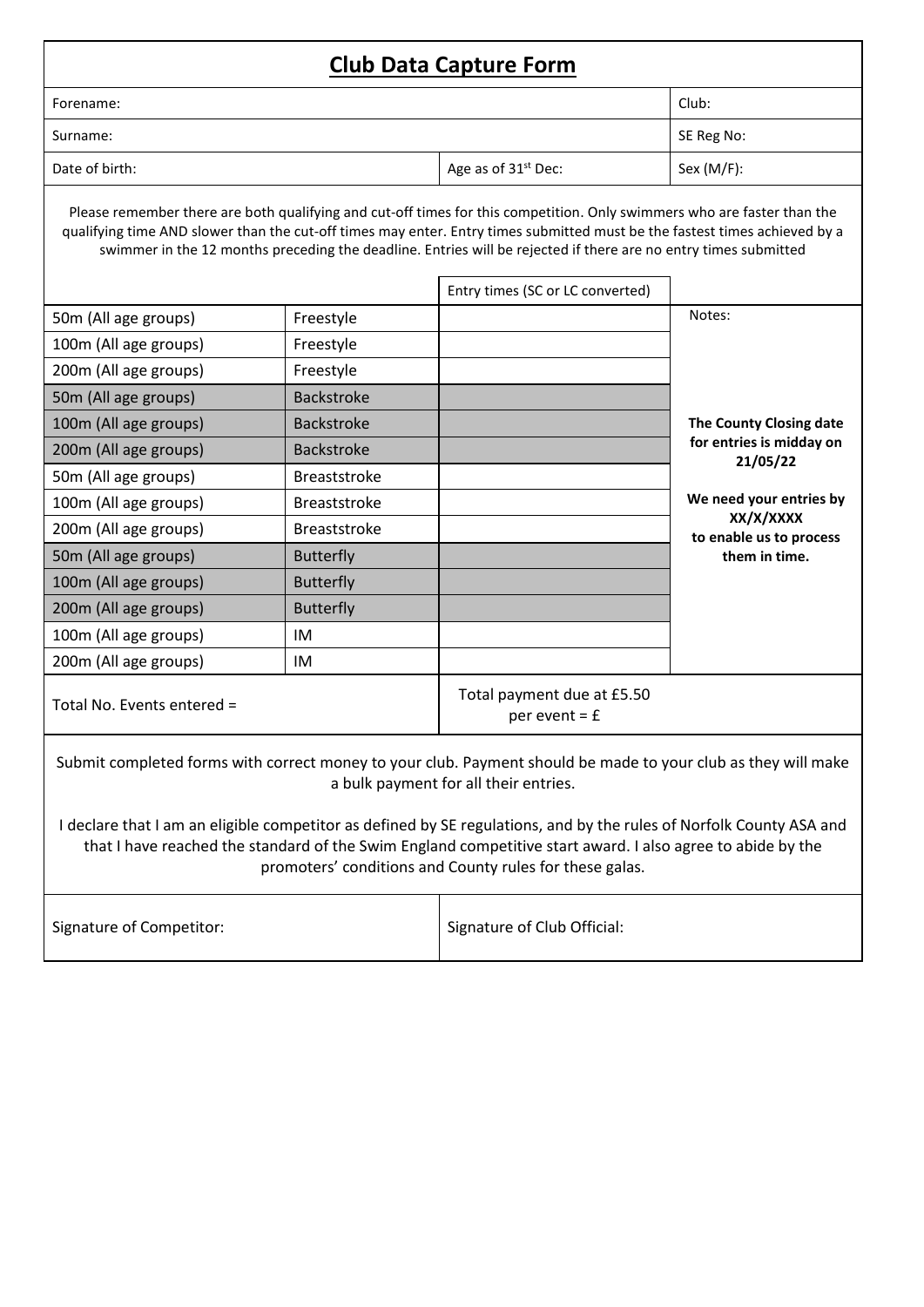| <b>Club Data Capture Form</b>                                                                                                                                                                                                                                                                                                                                            |                     |                                                 |                                      |  |  |  |
|--------------------------------------------------------------------------------------------------------------------------------------------------------------------------------------------------------------------------------------------------------------------------------------------------------------------------------------------------------------------------|---------------------|-------------------------------------------------|--------------------------------------|--|--|--|
| Club:<br>Forename:                                                                                                                                                                                                                                                                                                                                                       |                     |                                                 |                                      |  |  |  |
| Surname:                                                                                                                                                                                                                                                                                                                                                                 |                     |                                                 | SE Reg No:                           |  |  |  |
| Date of birth:                                                                                                                                                                                                                                                                                                                                                           |                     | Age as of 31 <sup>st</sup> Dec:                 | Sex $(M/F)$ :                        |  |  |  |
| Please remember there are both qualifying and cut-off times for this competition. Only swimmers who are faster than the<br>qualifying time AND slower than the cut-off times may enter. Entry times submitted must be the fastest times achieved by a<br>swimmer in the 12 months preceding the deadline. Entries will be rejected if there are no entry times submitted |                     |                                                 |                                      |  |  |  |
|                                                                                                                                                                                                                                                                                                                                                                          |                     | Entry times (SC or LC converted)                |                                      |  |  |  |
| 50m (All age groups)                                                                                                                                                                                                                                                                                                                                                     | Freestyle           |                                                 | Notes:                               |  |  |  |
| 100m (All age groups)                                                                                                                                                                                                                                                                                                                                                    | Freestyle           |                                                 |                                      |  |  |  |
| 200m (All age groups)                                                                                                                                                                                                                                                                                                                                                    | Freestyle           |                                                 |                                      |  |  |  |
| 50m (All age groups)                                                                                                                                                                                                                                                                                                                                                     | <b>Backstroke</b>   |                                                 |                                      |  |  |  |
| 100m (All age groups)                                                                                                                                                                                                                                                                                                                                                    | Backstroke          |                                                 | The County Closing date              |  |  |  |
| 200m (All age groups)<br><b>Backstroke</b>                                                                                                                                                                                                                                                                                                                               |                     |                                                 | for entries is midday on<br>21/05/22 |  |  |  |
| 50m (All age groups)                                                                                                                                                                                                                                                                                                                                                     | <b>Breaststroke</b> |                                                 |                                      |  |  |  |
| 100m (All age groups)                                                                                                                                                                                                                                                                                                                                                    | <b>Breaststroke</b> |                                                 | We need your entries by              |  |  |  |
| 200m (All age groups)                                                                                                                                                                                                                                                                                                                                                    | <b>Breaststroke</b> |                                                 | XX/X/XXXX<br>to enable us to process |  |  |  |
| 50m (All age groups)                                                                                                                                                                                                                                                                                                                                                     | <b>Butterfly</b>    |                                                 | them in time.                        |  |  |  |
| 100m (All age groups)                                                                                                                                                                                                                                                                                                                                                    | <b>Butterfly</b>    |                                                 |                                      |  |  |  |
| 200m (All age groups)                                                                                                                                                                                                                                                                                                                                                    | <b>Butterfly</b>    |                                                 |                                      |  |  |  |
| IM<br>100m (All age groups)                                                                                                                                                                                                                                                                                                                                              |                     |                                                 |                                      |  |  |  |
| 200m (All age groups)                                                                                                                                                                                                                                                                                                                                                    | IM                  |                                                 |                                      |  |  |  |
| Total No. Events entered =                                                                                                                                                                                                                                                                                                                                               |                     | Total payment due at £5.50<br>per event $=$ $E$ |                                      |  |  |  |
| Submit completed forms with correct money to your club. Payment should be made to your club as they will make<br>a bulk payment for all their entries.                                                                                                                                                                                                                   |                     |                                                 |                                      |  |  |  |

I declare that I am an eligible competitor as defined by SE regulations, and by the rules of Norfolk County ASA and that I have reached the standard of the Swim England competitive start award. I also agree to abide by the promoters' conditions and County rules for these galas.